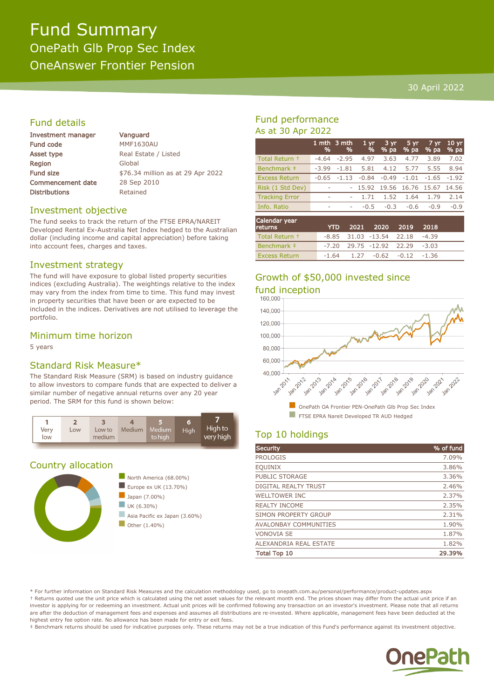# Fund Summary OnePath Glb Prop Sec Index OneAnswer Frontier Pension

#### 30 April 2022

### Fund details

| <b>Investment manager</b> |  |  |
|---------------------------|--|--|
| <b>Fund code</b>          |  |  |
| Asset type                |  |  |
| Region                    |  |  |
| <b>Fund size</b>          |  |  |
| <b>Commencement date</b>  |  |  |
| <b>Distributions</b>      |  |  |

Vanguard **MMF1630AU** Real Estate / Listed Global \$76.34 million as at 29 Apr 2022 28 Sep 2010 Retained

#### Investment objective

The fund seeks to track the return of the FTSE EPRA/NAREIT Developed Rental Ex-Australia Net Index hedged to the Australian dollar (including income and capital appreciation) before taking into account fees, charges and taxes.

#### Investment strategy

The fund will have exposure to global listed property securities indices (excluding Australia). The weightings relative to the index may vary from the index from time to time. This fund may invest in property securities that have been or are expected to be included in the indices. Derivatives are not utilised to leverage the portfolio.

#### Minimum time horizon

5 years

#### Standard Risk Measure\*

The Standard Risk Measure (SRM) is based on industry guidance to allow investors to compare funds that are expected to deliver a similar number of negative annual returns over any 20 year period. The SRM for this fund is shown below:



#### Country allocation



### Fund performance As at 30 Apr 2022

|                       | %                        | 1 mth 3 mth<br>% | 1 <sub>vr</sub><br>% | 3 yr<br>$%$ pa | 5 yr<br>% pa | 7 yr<br>% pa | 10 <sub>yr</sub><br>% pa |
|-----------------------|--------------------------|------------------|----------------------|----------------|--------------|--------------|--------------------------|
| Total Return +        | $-4.64$                  | $-2.95$          | 4.97                 | 3.63           | 4.77         | 3.89         | 7.02                     |
| Benchmark ‡           | $-3.99$                  | $-1.81$          | 5.81                 | 4.12           | 5.77         | 5.55         | 8.94                     |
| <b>Excess Return</b>  | $-0.65$                  | $-1.13$          | $-0.84$              | $-0.49$        | $-1.01$      |              | $-1.65 -1.92$            |
| Risk (1 Std Dev)      | $\overline{\phantom{a}}$ |                  | 15.92                | 19.56          | 16.76        | 15.67        | 14.56                    |
| <b>Tracking Error</b> | $\overline{\phantom{a}}$ |                  | 1.71                 | 1.52           | 1.64         | 1.79         | 2.14                     |
| Info. Ratio           | $\sim$                   | ۰                | $-0.5$               | $-0.3$         | $-0.6$       | $-0.9$       | $-0.9$                   |
| Calandau waan         |                          |                  |                      |                |              |              |                          |

| Calendar year<br><b>returns</b> | <b>YTD</b> | 2021 2020 2019 2018                  |  |  |
|---------------------------------|------------|--------------------------------------|--|--|
| Total Return +                  |            | $-8.85$ 31.03 $-13.54$ 22.18 $-4.39$ |  |  |
| Benchmark #                     |            | $-7.20$ 29.75 $-12.92$ 22.29 $-3.03$ |  |  |
| <b>Excess Return</b>            |            | $-1.64$ 1.27 $-0.62$ $-0.12$ $-1.36$ |  |  |

# Growth of \$50,000 invested since fund inception



## Top 10 holdings

| Security                     | % of fund |
|------------------------------|-----------|
| <b>PROLOGIS</b>              | 7.09%     |
| <b>EQUINIX</b>               | 3.86%     |
| PUBLIC STORAGE               | 3.36%     |
| DIGITAL REALTY TRUST         | 2.46%     |
| <b>WELLTOWER INC</b>         | 2.37%     |
| <b>REALTY INCOME</b>         | 2.35%     |
| SIMON PROPERTY GROUP         | 2.31%     |
| <b>AVALONBAY COMMUNITIES</b> | 1.90%     |
| <b>VONOVIA SE</b>            | 1.87%     |
| ALEXANDRIA REAL ESTATE       | 1.82%     |
| <b>Total Top 10</b>          | 29.39%    |

\* For further information on Standard Risk Measures and the calculation methodology used, go to onepath.com.au/personal/performance/product-updates.aspx † Returns quoted use the unit price which is calculated using the net asset values for the relevant month end. The prices shown may differ from the actual unit price if an investor is applying for or redeeming an investment. Actual unit prices will be confirmed following any transaction on an investor's investment. Please note that all returns are after the deduction of management fees and expenses and assumes all distributions are re-invested. Where applicable, management fees have been deducted at the highest entry fee option rate. No allowance has been made for entry or exit fees.

‡ Benchmark returns should be used for indicative purposes only. These returns may not be a true indication of this Fund's performance against its investment objective.